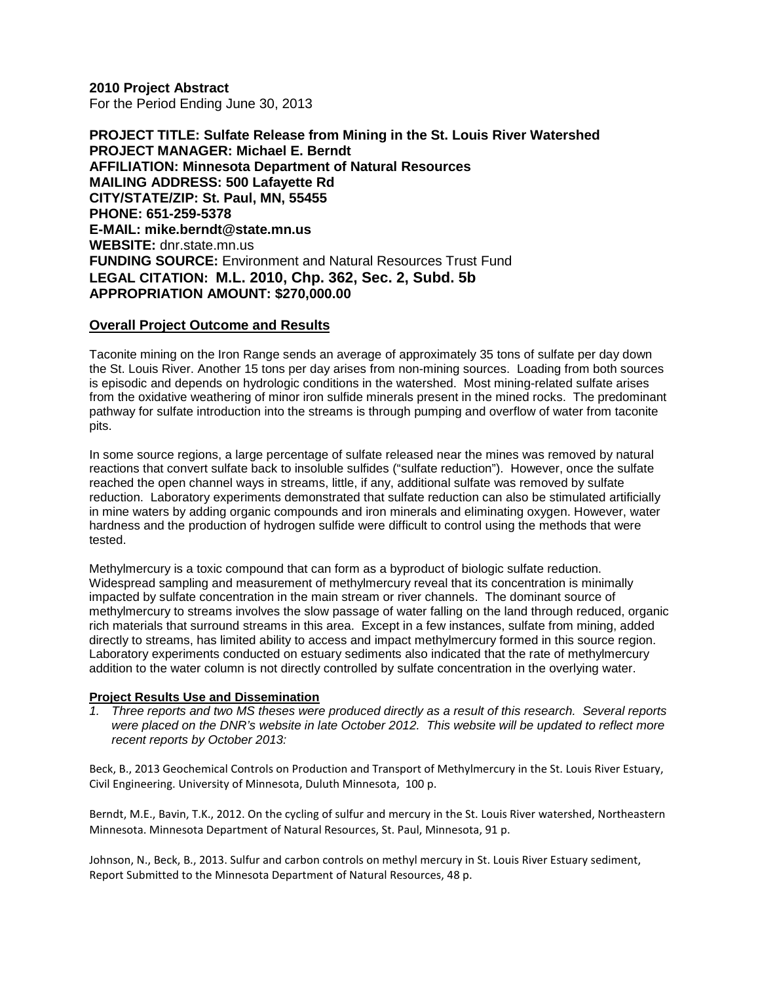**2010 Project Abstract**  For the Period Ending June 30, 2013

**PROJECT TITLE: Sulfate Release from Mining in the St. Louis River Watershed PROJECT MANAGER: Michael E. Berndt AFFILIATION: Minnesota Department of Natural Resources MAILING ADDRESS: 500 Lafayette Rd CITY/STATE/ZIP: St. Paul, MN, 55455 PHONE: 651-259-5378 E-MAIL: mike.berndt@state.mn.us WEBSITE:** dnr.state.mn.us **FUNDING SOURCE:** Environment and Natural Resources Trust Fund **LEGAL CITATION: M.L. 2010, Chp. 362, Sec. 2, Subd. 5b APPROPRIATION AMOUNT: \$270,000.00**

#### **Overall Project Outcome and Results**

Taconite mining on the Iron Range sends an average of approximately 35 tons of sulfate per day down the St. Louis River. Another 15 tons per day arises from non-mining sources. Loading from both sources is episodic and depends on hydrologic conditions in the watershed. Most mining-related sulfate arises from the oxidative weathering of minor iron sulfide minerals present in the mined rocks. The predominant pathway for sulfate introduction into the streams is through pumping and overflow of water from taconite pits.

In some source regions, a large percentage of sulfate released near the mines was removed by natural reactions that convert sulfate back to insoluble sulfides ("sulfate reduction"). However, once the sulfate reached the open channel ways in streams, little, if any, additional sulfate was removed by sulfate reduction. Laboratory experiments demonstrated that sulfate reduction can also be stimulated artificially in mine waters by adding organic compounds and iron minerals and eliminating oxygen. However, water hardness and the production of hydrogen sulfide were difficult to control using the methods that were tested.

Methylmercury is a toxic compound that can form as a byproduct of biologic sulfate reduction. Widespread sampling and measurement of methylmercury reveal that its concentration is minimally impacted by sulfate concentration in the main stream or river channels. The dominant source of methylmercury to streams involves the slow passage of water falling on the land through reduced, organic rich materials that surround streams in this area. Except in a few instances, sulfate from mining, added directly to streams, has limited ability to access and impact methylmercury formed in this source region. Laboratory experiments conducted on estuary sediments also indicated that the rate of methylmercury addition to the water column is not directly controlled by sulfate concentration in the overlying water.

#### **Project Results Use and Dissemination**

*1. Three reports and two MS theses were produced directly as a result of this research. Several reports were placed on the DNR's website in late October 2012. This website will be updated to reflect more recent reports by October 2013:*

Beck, B., 2013 Geochemical Controls on Production and Transport of Methylmercury in the St. Louis River Estuary, Civil Engineering. University of Minnesota, Duluth Minnesota, 100 p.

Berndt, M.E., Bavin, T.K., 2012. On the cycling of sulfur and mercury in the St. Louis River watershed, Northeastern Minnesota. Minnesota Department of Natural Resources, St. Paul, Minnesota, 91 p.

Johnson, N., Beck, B., 2013. Sulfur and carbon controls on methyl mercury in St. Louis River Estuary sediment, Report Submitted to the Minnesota Department of Natural Resources, 48 p.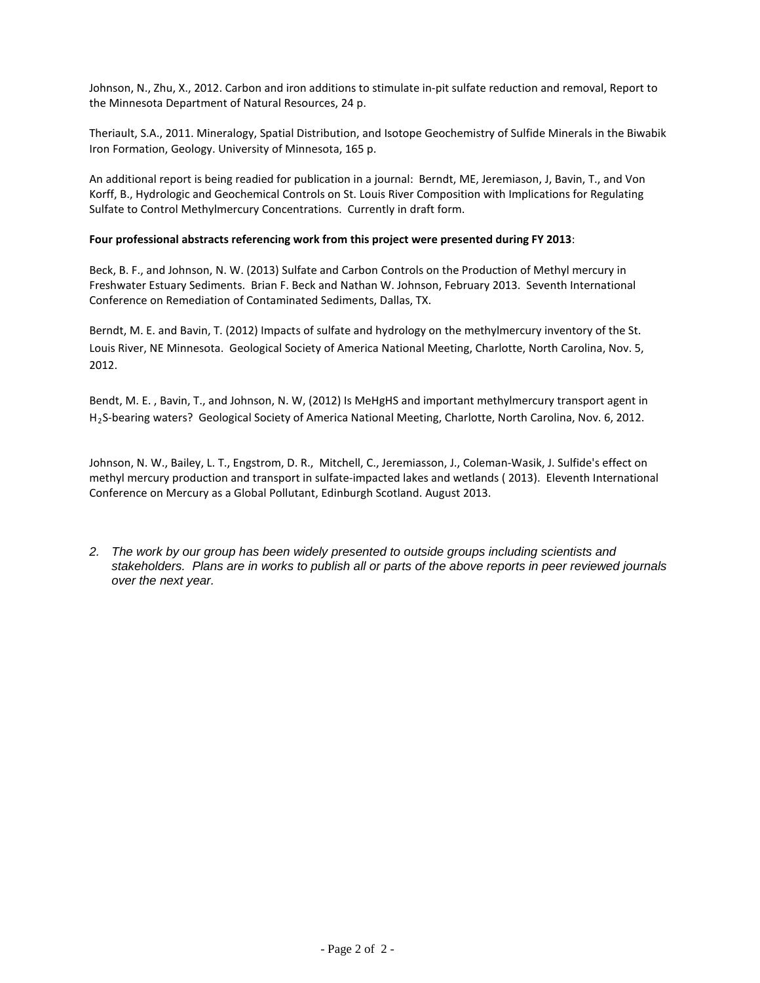Johnson, N., Zhu, X., 2012. Carbon and iron additions to stimulate in-pit sulfate reduction and removal, Report to the Minnesota Department of Natural Resources, 24 p.

Theriault, S.A., 2011. Mineralogy, Spatial Distribution, and Isotope Geochemistry of Sulfide Minerals in the Biwabik Iron Formation, Geology. University of Minnesota, 165 p.

An additional report is being readied for publication in a journal: Berndt, ME, Jeremiason, J, Bavin, T., and Von Korff, B., Hydrologic and Geochemical Controls on St. Louis River Composition with Implications for Regulating Sulfate to Control Methylmercury Concentrations. Currently in draft form.

#### **Four professional abstracts referencing work from this project were presented during FY 2013**:

Beck, B. F., and Johnson, N. W. (2013) Sulfate and Carbon Controls on the Production of Methyl mercury in Freshwater Estuary Sediments. Brian F. Beck and Nathan W. Johnson, February 2013. Seventh International Conference on Remediation of Contaminated Sediments, Dallas, TX.

Berndt, M. E. and Bavin, T. (2012) Impacts of sulfate and hydrology on the methylmercury inventory of the St. Louis River, NE Minnesota. Geological Society of America National Meeting, Charlotte, North Carolina, Nov. 5, 2012.

Bendt, M. E. , Bavin, T., and Johnson, N. W, (2012) Is MeHgHS and important methylmercury transport agent in H2S-bearing waters? Geological Society of America National Meeting, Charlotte, North Carolina, Nov. 6, 2012.

Johnson, N. W., Bailey, L. T., Engstrom, D. R., Mitchell, C., Jeremiasson, J., Coleman-Wasik, J. Sulfide's effect on methyl mercury production and transport in sulfate-impacted lakes and wetlands ( 2013). Eleventh International Conference on Mercury as a Global Pollutant, Edinburgh Scotland. August 2013.

*2. The work by our group has been widely presented to outside groups including scientists and stakeholders. Plans are in works to publish all or parts of the above reports in peer reviewed journals over the next year.*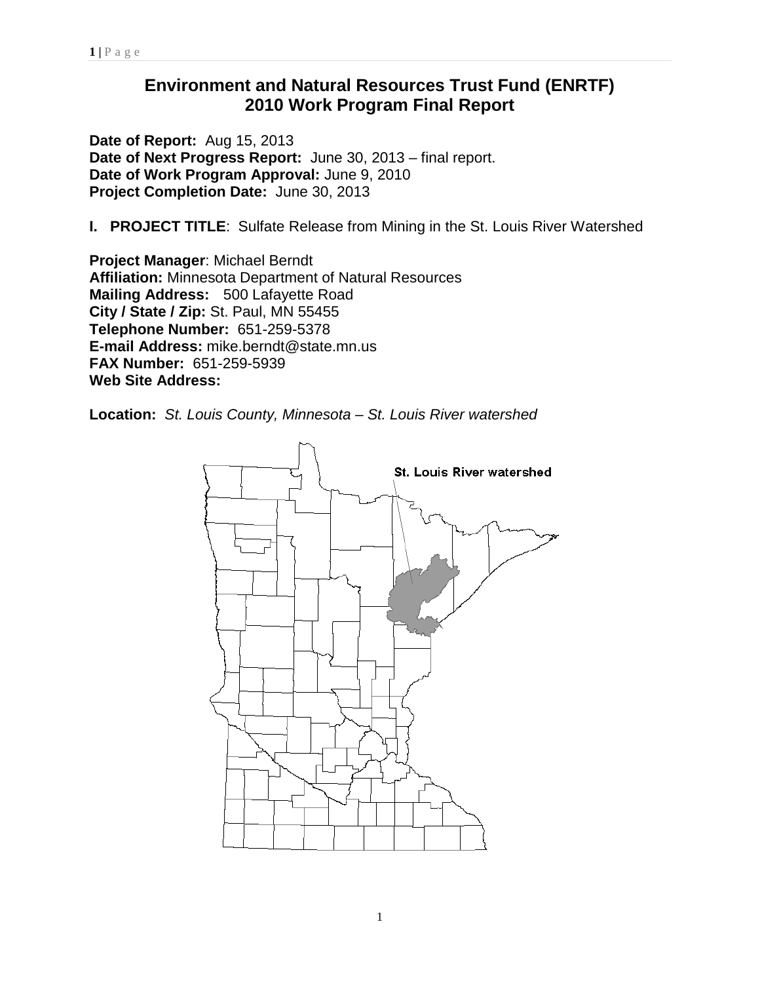# **Environment and Natural Resources Trust Fund (ENRTF) 2010 Work Program Final Report**

**Date of Report:** Aug 15, 2013 **Date of Next Progress Report:** June 30, 2013 – final report. **Date of Work Program Approval:** June 9, 2010 **Project Completion Date:** June 30, 2013

**I. PROJECT TITLE**: Sulfate Release from Mining in the St. Louis River Watershed

**Project Manager**: Michael Berndt **Affiliation:** Minnesota Department of Natural Resources **Mailing Address:** 500 Lafayette Road **City / State / Zip:** St. Paul, MN 55455 **Telephone Number:** 651-259-5378 **E-mail Address:** mike.berndt@state.mn.us **FAX Number:** 651-259-5939 **Web Site Address:** 

**Location:** *St. Louis County, Minnesota – St. Louis River watershed*

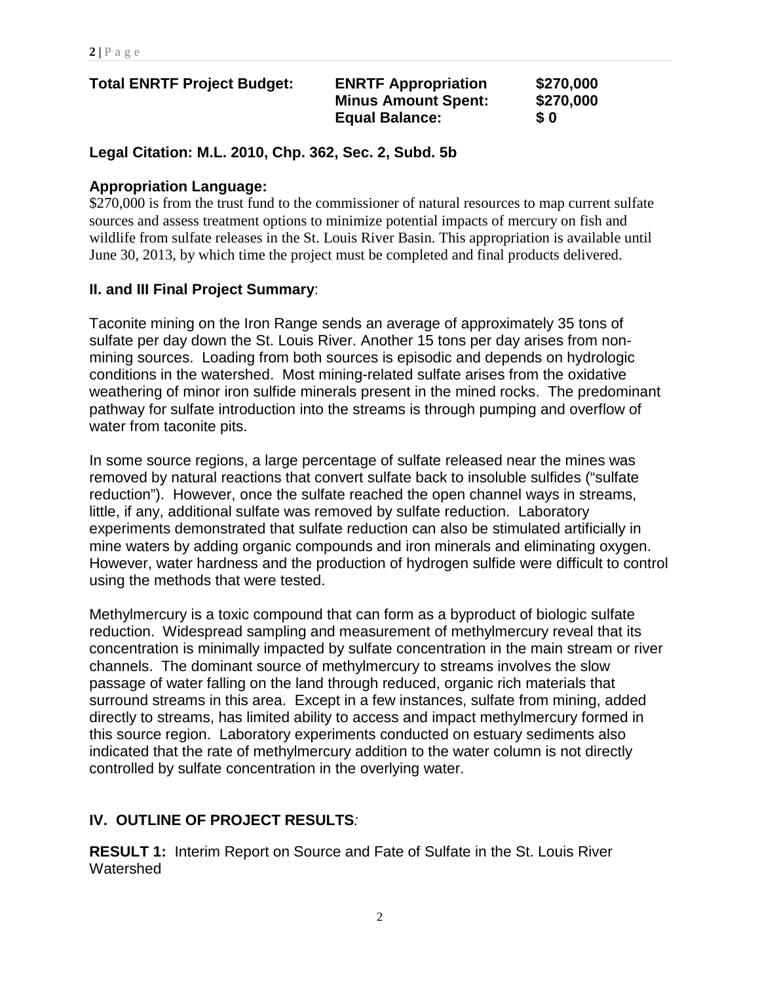| <b>Total ENRTF Project Budget:</b> | <b>ENRTF Appropriation</b><br><b>Minus Amount Spent:</b><br><b>Equal Balance:</b> | \$270,000<br>\$270,000<br>$\bm{s}$ 0 |
|------------------------------------|-----------------------------------------------------------------------------------|--------------------------------------|
|                                    |                                                                                   |                                      |

**Legal Citation: M.L. 2010, Chp. 362, Sec. 2, Subd. 5b**

### **Appropriation Language:**

\$270,000 is from the trust fund to the commissioner of natural resources to map current sulfate sources and assess treatment options to minimize potential impacts of mercury on fish and wildlife from sulfate releases in the St. Louis River Basin. This appropriation is available until June 30, 2013, by which time the project must be completed and final products delivered.

### **II. and III Final Project Summary**:

Taconite mining on the Iron Range sends an average of approximately 35 tons of sulfate per day down the St. Louis River. Another 15 tons per day arises from nonmining sources. Loading from both sources is episodic and depends on hydrologic conditions in the watershed. Most mining-related sulfate arises from the oxidative weathering of minor iron sulfide minerals present in the mined rocks. The predominant pathway for sulfate introduction into the streams is through pumping and overflow of water from taconite pits.

In some source regions, a large percentage of sulfate released near the mines was removed by natural reactions that convert sulfate back to insoluble sulfides ("sulfate reduction"). However, once the sulfate reached the open channel ways in streams, little, if any, additional sulfate was removed by sulfate reduction. Laboratory experiments demonstrated that sulfate reduction can also be stimulated artificially in mine waters by adding organic compounds and iron minerals and eliminating oxygen. However, water hardness and the production of hydrogen sulfide were difficult to control using the methods that were tested.

Methylmercury is a toxic compound that can form as a byproduct of biologic sulfate reduction. Widespread sampling and measurement of methylmercury reveal that its concentration is minimally impacted by sulfate concentration in the main stream or river channels. The dominant source of methylmercury to streams involves the slow passage of water falling on the land through reduced, organic rich materials that surround streams in this area. Except in a few instances, sulfate from mining, added directly to streams, has limited ability to access and impact methylmercury formed in this source region. Laboratory experiments conducted on estuary sediments also indicated that the rate of methylmercury addition to the water column is not directly controlled by sulfate concentration in the overlying water.

## **IV. OUTLINE OF PROJECT RESULTS***:*

**RESULT 1:** Interim Report on Source and Fate of Sulfate in the St. Louis River Watershed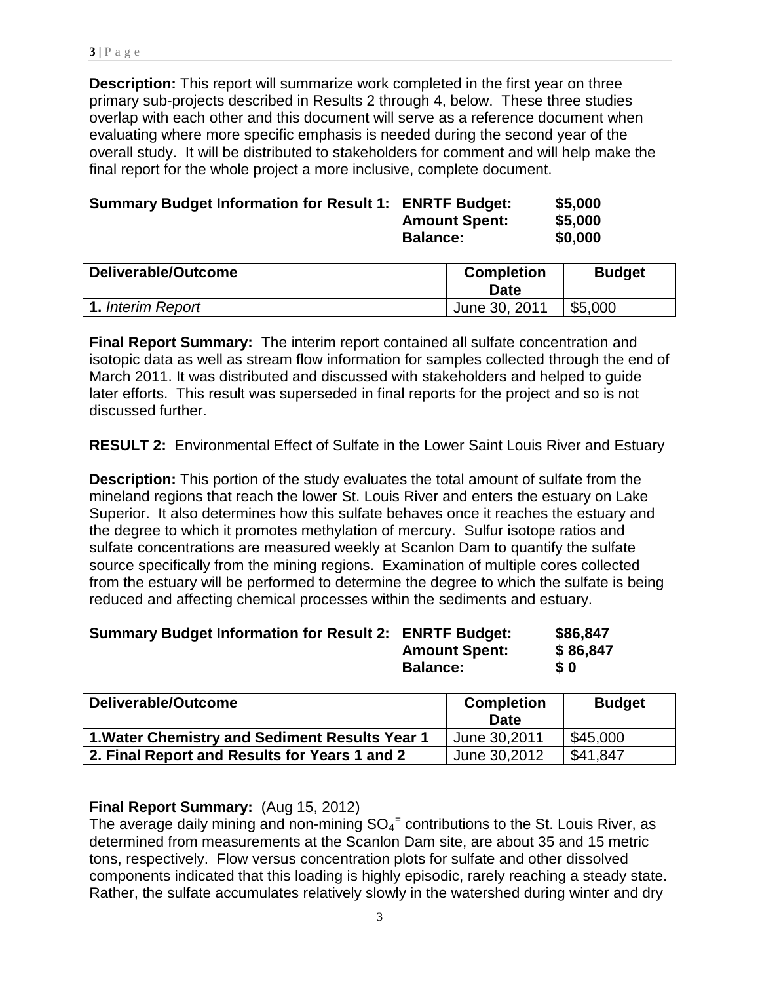**Description:** This report will summarize work completed in the first year on three primary sub-projects described in Results 2 through 4, below. These three studies overlap with each other and this document will serve as a reference document when evaluating where more specific emphasis is needed during the second year of the overall study. It will be distributed to stakeholders for comment and will help make the final report for the whole project a more inclusive, complete document.

| <b>Summary Budget Information for Result 1: ENRTF Budget:</b> |                      | \$5,000 |
|---------------------------------------------------------------|----------------------|---------|
|                                                               | <b>Amount Spent:</b> | \$5,000 |
|                                                               | <b>Balance:</b>      | \$0,000 |

| Deliverable/Outcome      | <b>Completion</b><br>Date | <b>Budget</b> |
|--------------------------|---------------------------|---------------|
| <b>1.</b> Interim Report | June 30, 2011             | \$5,000       |

**Final Report Summary:** The interim report contained all sulfate concentration and isotopic data as well as stream flow information for samples collected through the end of March 2011. It was distributed and discussed with stakeholders and helped to guide later efforts. This result was superseded in final reports for the project and so is not discussed further.

**RESULT 2:** Environmental Effect of Sulfate in the Lower Saint Louis River and Estuary

**Description:** This portion of the study evaluates the total amount of sulfate from the mineland regions that reach the lower St. Louis River and enters the estuary on Lake Superior. It also determines how this sulfate behaves once it reaches the estuary and the degree to which it promotes methylation of mercury. Sulfur isotope ratios and sulfate concentrations are measured weekly at Scanlon Dam to quantify the sulfate source specifically from the mining regions. Examination of multiple cores collected from the estuary will be performed to determine the degree to which the sulfate is being reduced and affecting chemical processes within the sediments and estuary.

| <b>Summary Budget Information for Result 2: ENRTF Budget:</b> |                      | \$86,847   |
|---------------------------------------------------------------|----------------------|------------|
|                                                               | <b>Amount Spent:</b> | \$86,847   |
|                                                               | <b>Balance:</b>      | $\bm{S}$ 0 |

| Deliverable/Outcome                            | <b>Completion</b><br><b>Date</b> | <b>Budget</b> |
|------------------------------------------------|----------------------------------|---------------|
| 1. Water Chemistry and Sediment Results Year 1 | June 30,2011                     | \$45,000      |
| 2. Final Report and Results for Years 1 and 2  | June 30,2012                     | \$41,847      |

### **Final Report Summary:** (Aug 15, 2012)

The average daily mining and non-mining  $SO_4$ <sup>=</sup> contributions to the St. Louis River, as determined from measurements at the Scanlon Dam site, are about 35 and 15 metric tons, respectively. Flow versus concentration plots for sulfate and other dissolved components indicated that this loading is highly episodic, rarely reaching a steady state. Rather, the sulfate accumulates relatively slowly in the watershed during winter and dry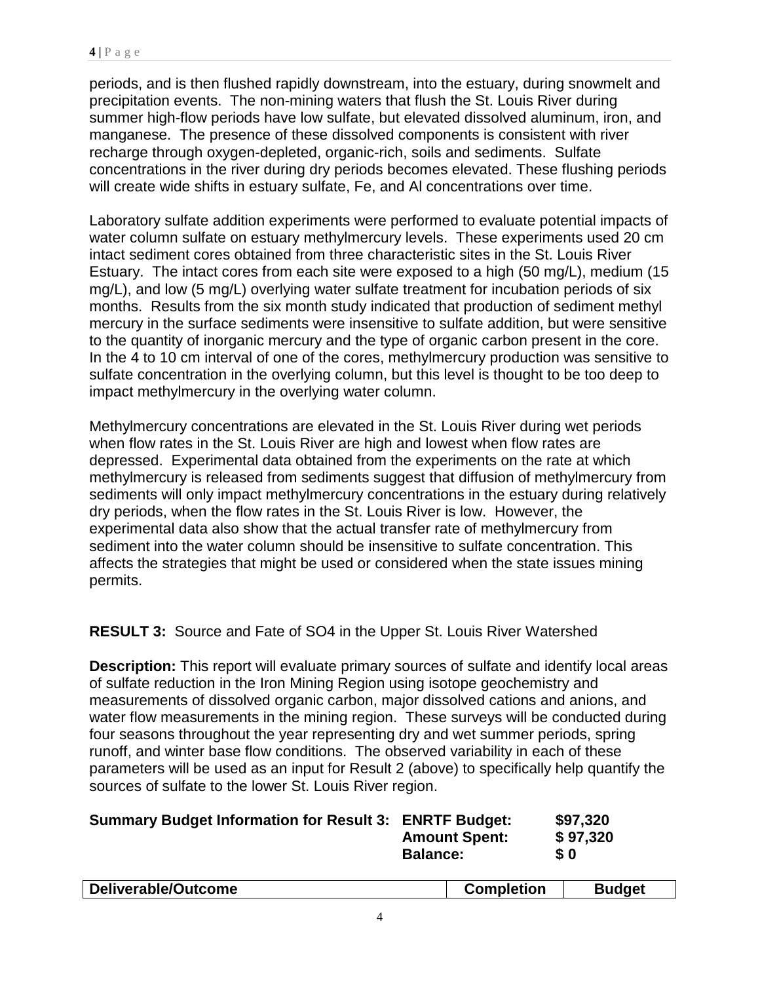periods, and is then flushed rapidly downstream, into the estuary, during snowmelt and precipitation events. The non-mining waters that flush the St. Louis River during summer high-flow periods have low sulfate, but elevated dissolved aluminum, iron, and manganese. The presence of these dissolved components is consistent with river recharge through oxygen-depleted, organic-rich, soils and sediments. Sulfate concentrations in the river during dry periods becomes elevated. These flushing periods will create wide shifts in estuary sulfate, Fe, and Al concentrations over time.

Laboratory sulfate addition experiments were performed to evaluate potential impacts of water column sulfate on estuary methylmercury levels. These experiments used 20 cm intact sediment cores obtained from three characteristic sites in the St. Louis River Estuary. The intact cores from each site were exposed to a high (50 mg/L), medium (15 mg/L), and low (5 mg/L) overlying water sulfate treatment for incubation periods of six months. Results from the six month study indicated that production of sediment methyl mercury in the surface sediments were insensitive to sulfate addition, but were sensitive to the quantity of inorganic mercury and the type of organic carbon present in the core. In the 4 to 10 cm interval of one of the cores, methylmercury production was sensitive to sulfate concentration in the overlying column, but this level is thought to be too deep to impact methylmercury in the overlying water column.

Methylmercury concentrations are elevated in the St. Louis River during wet periods when flow rates in the St. Louis River are high and lowest when flow rates are depressed. Experimental data obtained from the experiments on the rate at which methylmercury is released from sediments suggest that diffusion of methylmercury from sediments will only impact methylmercury concentrations in the estuary during relatively dry periods, when the flow rates in the St. Louis River is low. However, the experimental data also show that the actual transfer rate of methylmercury from sediment into the water column should be insensitive to sulfate concentration. This affects the strategies that might be used or considered when the state issues mining permits.

**RESULT 3:** Source and Fate of SO4 in the Upper St. Louis River Watershed

**Description:** This report will evaluate primary sources of sulfate and identify local areas of sulfate reduction in the Iron Mining Region using isotope geochemistry and measurements of dissolved organic carbon, major dissolved cations and anions, and water flow measurements in the mining region. These surveys will be conducted during four seasons throughout the year representing dry and wet summer periods, spring runoff, and winter base flow conditions. The observed variability in each of these parameters will be used as an input for Result 2 (above) to specifically help quantify the sources of sulfate to the lower St. Louis River region.

| <b>Summary Budget Information for Result 3: ENRTF Budget:</b> |                      | \$97,320 |
|---------------------------------------------------------------|----------------------|----------|
|                                                               | <b>Amount Spent:</b> | \$97,320 |
|                                                               | <b>Balance:</b>      | \$0      |
|                                                               |                      |          |

| Deliverable/Outcome | <b>Completion</b> | Budget |
|---------------------|-------------------|--------|
|                     |                   |        |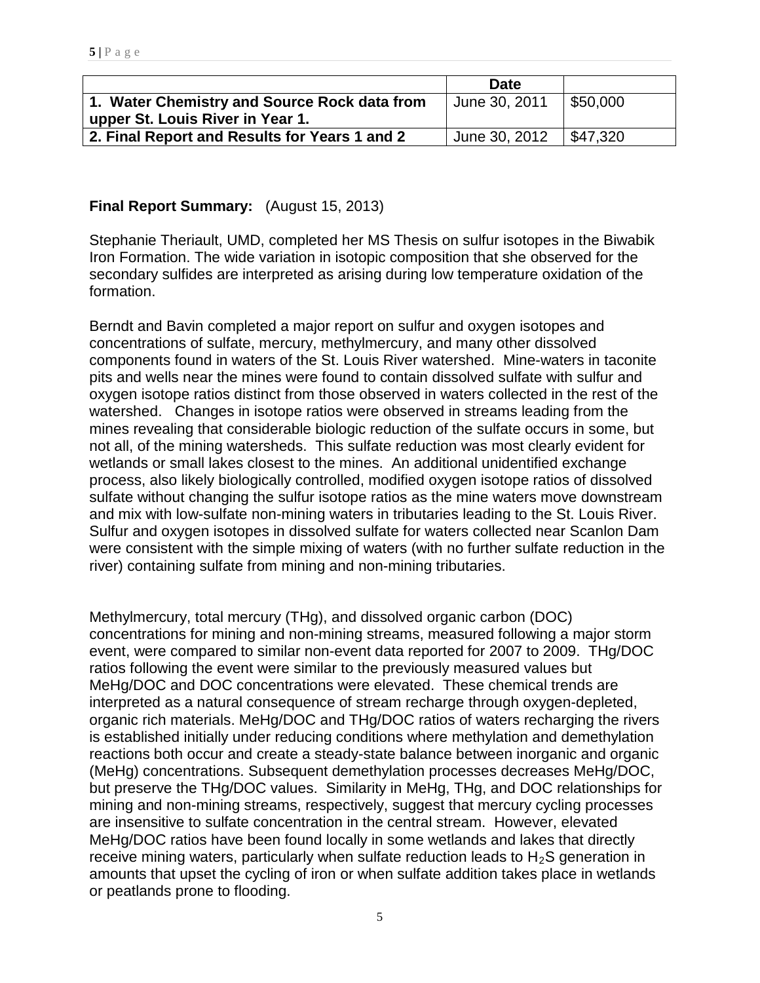|                                               | Date                       |          |
|-----------------------------------------------|----------------------------|----------|
| 1. Water Chemistry and Source Rock data from  | Uune 30, 2011              | 550.000  |
| upper St. Louis River in Year 1.              |                            |          |
| 2. Final Report and Results for Years 1 and 2 | <sup>1</sup> June 30, 2012 | \$47.320 |

### **Final Report Summary:** (August 15, 2013)

Stephanie Theriault, UMD, completed her MS Thesis on sulfur isotopes in the Biwabik Iron Formation. The wide variation in isotopic composition that she observed for the secondary sulfides are interpreted as arising during low temperature oxidation of the formation.

Berndt and Bavin completed a major report on sulfur and oxygen isotopes and concentrations of sulfate, mercury, methylmercury, and many other dissolved components found in waters of the St. Louis River watershed. Mine-waters in taconite pits and wells near the mines were found to contain dissolved sulfate with sulfur and oxygen isotope ratios distinct from those observed in waters collected in the rest of the watershed. Changes in isotope ratios were observed in streams leading from the mines revealing that considerable biologic reduction of the sulfate occurs in some, but not all, of the mining watersheds. This sulfate reduction was most clearly evident for wetlands or small lakes closest to the mines. An additional unidentified exchange process, also likely biologically controlled, modified oxygen isotope ratios of dissolved sulfate without changing the sulfur isotope ratios as the mine waters move downstream and mix with low-sulfate non-mining waters in tributaries leading to the St. Louis River. Sulfur and oxygen isotopes in dissolved sulfate for waters collected near Scanlon Dam were consistent with the simple mixing of waters (with no further sulfate reduction in the river) containing sulfate from mining and non-mining tributaries.

Methylmercury, total mercury (THg), and dissolved organic carbon (DOC) concentrations for mining and non-mining streams, measured following a major storm event, were compared to similar non-event data reported for 2007 to 2009. THg/DOC ratios following the event were similar to the previously measured values but MeHg/DOC and DOC concentrations were elevated. These chemical trends are interpreted as a natural consequence of stream recharge through oxygen-depleted, organic rich materials. MeHg/DOC and THg/DOC ratios of waters recharging the rivers is established initially under reducing conditions where methylation and demethylation reactions both occur and create a steady-state balance between inorganic and organic (MeHg) concentrations. Subsequent demethylation processes decreases MeHg/DOC, but preserve the THg/DOC values. Similarity in MeHg, THg, and DOC relationships for mining and non-mining streams, respectively, suggest that mercury cycling processes are insensitive to sulfate concentration in the central stream. However, elevated MeHg/DOC ratios have been found locally in some wetlands and lakes that directly receive mining waters, particularly when sulfate reduction leads to  $H_2S$  generation in amounts that upset the cycling of iron or when sulfate addition takes place in wetlands or peatlands prone to flooding.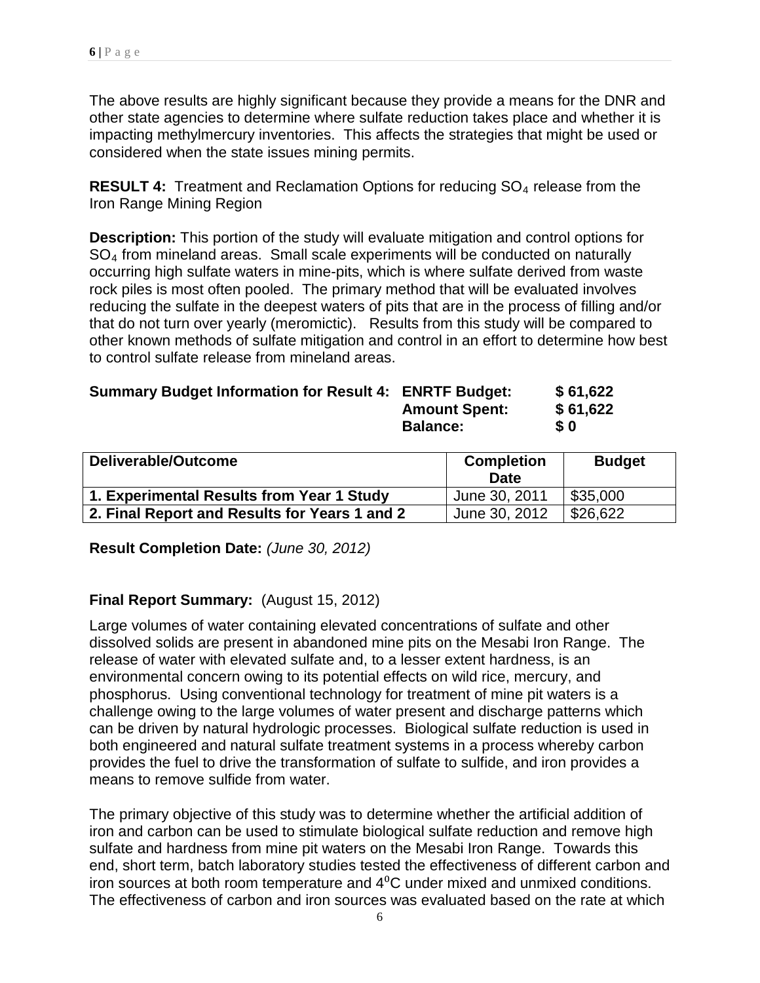The above results are highly significant because they provide a means for the DNR and other state agencies to determine where sulfate reduction takes place and whether it is impacting methylmercury inventories. This affects the strategies that might be used or considered when the state issues mining permits.

**RESULT 4:** Treatment and Reclamation Options for reducing SO<sub>4</sub> release from the Iron Range Mining Region

**Description:** This portion of the study will evaluate mitigation and control options for SO4 from mineland areas. Small scale experiments will be conducted on naturally occurring high sulfate waters in mine-pits, which is where sulfate derived from waste rock piles is most often pooled. The primary method that will be evaluated involves reducing the sulfate in the deepest waters of pits that are in the process of filling and/or that do not turn over yearly (meromictic). Results from this study will be compared to other known methods of sulfate mitigation and control in an effort to determine how best to control sulfate release from mineland areas.

| <b>Summary Budget Information for Result 4: ENRTF Budget:</b> |                      | \$61,622   |
|---------------------------------------------------------------|----------------------|------------|
|                                                               | <b>Amount Spent:</b> | \$61,622   |
|                                                               | <b>Balance:</b>      | $\bm{S}$ 0 |

| Deliverable/Outcome                           | <b>Completion</b><br><b>Date</b> | <b>Budget</b> |
|-----------------------------------------------|----------------------------------|---------------|
| 1. Experimental Results from Year 1 Study     | June 30, 2011                    | \$35,000      |
| 2. Final Report and Results for Years 1 and 2 | June 30, 2012                    | \$26,622      |

**Result Completion Date:** *(June 30, 2012)*

### **Final Report Summary:** (August 15, 2012)

Large volumes of water containing elevated concentrations of sulfate and other dissolved solids are present in abandoned mine pits on the Mesabi Iron Range. The release of water with elevated sulfate and, to a lesser extent hardness, is an environmental concern owing to its potential effects on wild rice, mercury, and phosphorus. Using conventional technology for treatment of mine pit waters is a challenge owing to the large volumes of water present and discharge patterns which can be driven by natural hydrologic processes. Biological sulfate reduction is used in both engineered and natural sulfate treatment systems in a process whereby carbon provides the fuel to drive the transformation of sulfate to sulfide, and iron provides a means to remove sulfide from water.

The primary objective of this study was to determine whether the artificial addition of iron and carbon can be used to stimulate biological sulfate reduction and remove high sulfate and hardness from mine pit waters on the Mesabi Iron Range. Towards this end, short term, batch laboratory studies tested the effectiveness of different carbon and iron sources at both room temperature and 4⁰C under mixed and unmixed conditions. The effectiveness of carbon and iron sources was evaluated based on the rate at which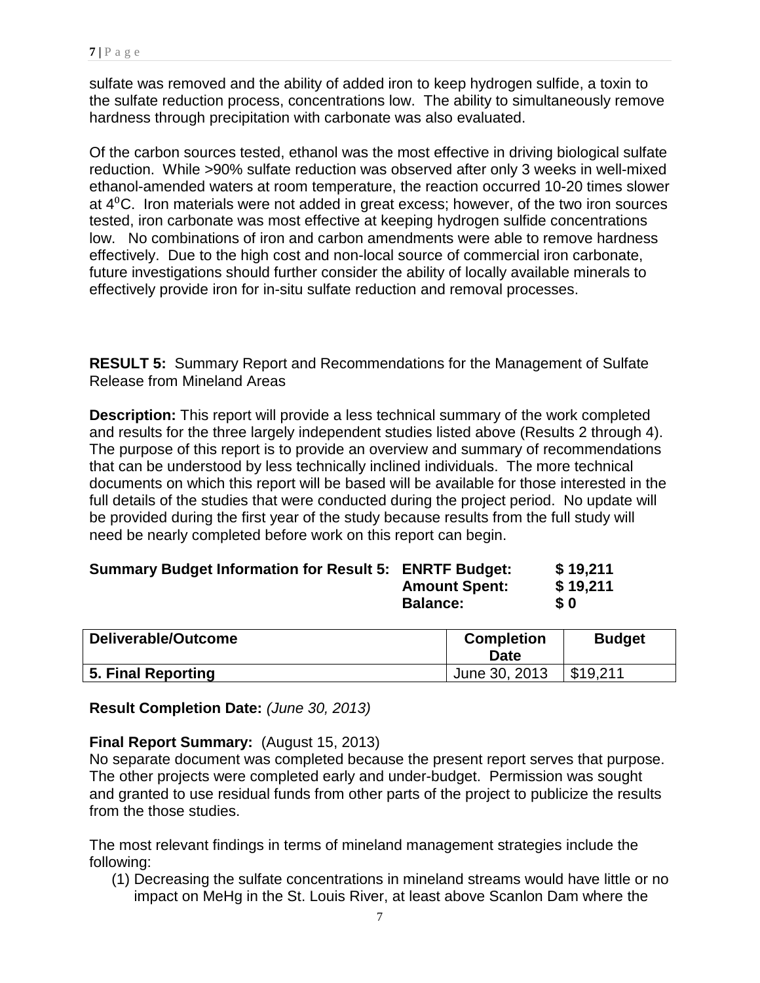sulfate was removed and the ability of added iron to keep hydrogen sulfide, a toxin to the sulfate reduction process, concentrations low. The ability to simultaneously remove hardness through precipitation with carbonate was also evaluated.

Of the carbon sources tested, ethanol was the most effective in driving biological sulfate reduction. While >90% sulfate reduction was observed after only 3 weeks in well-mixed ethanol-amended waters at room temperature, the reaction occurred 10-20 times slower at  $4^{\circ}$ C. Iron materials were not added in great excess; however, of the two iron sources tested, iron carbonate was most effective at keeping hydrogen sulfide concentrations low. No combinations of iron and carbon amendments were able to remove hardness effectively. Due to the high cost and non-local source of commercial iron carbonate, future investigations should further consider the ability of locally available minerals to effectively provide iron for in-situ sulfate reduction and removal processes.

**RESULT 5:** Summary Report and Recommendations for the Management of Sulfate Release from Mineland Areas

**Description:** This report will provide a less technical summary of the work completed and results for the three largely independent studies listed above (Results 2 through 4). The purpose of this report is to provide an overview and summary of recommendations that can be understood by less technically inclined individuals. The more technical documents on which this report will be based will be available for those interested in the full details of the studies that were conducted during the project period. No update will be provided during the first year of the study because results from the full study will need be nearly completed before work on this report can begin.

| <b>Summary Budget Information for Result 5: ENRTF Budget:</b> | \$19,211   |
|---------------------------------------------------------------|------------|
| <b>Amount Spent:</b>                                          | \$19,211   |
| <b>Balance:</b>                                               | <b>\$0</b> |
|                                                               |            |

| Deliverable/Outcome | <b>Completion</b><br>Date | <b>Budget</b> |
|---------------------|---------------------------|---------------|
| 5. Final Reporting  | June 30, 2013             | \$19.211      |

**Result Completion Date:** *(June 30, 2013)*

### **Final Report Summary:** (August 15, 2013)

No separate document was completed because the present report serves that purpose. The other projects were completed early and under-budget. Permission was sought and granted to use residual funds from other parts of the project to publicize the results from the those studies.

The most relevant findings in terms of mineland management strategies include the following:

(1) Decreasing the sulfate concentrations in mineland streams would have little or no impact on MeHg in the St. Louis River, at least above Scanlon Dam where the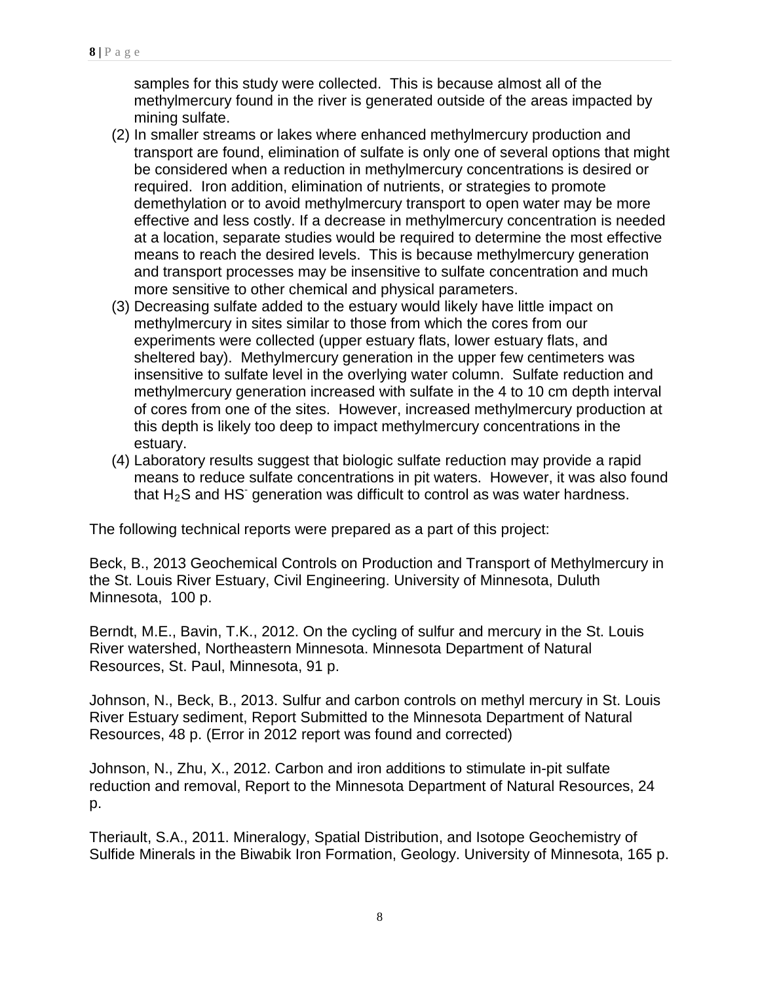samples for this study were collected. This is because almost all of the methylmercury found in the river is generated outside of the areas impacted by mining sulfate.

- (2) In smaller streams or lakes where enhanced methylmercury production and transport are found, elimination of sulfate is only one of several options that might be considered when a reduction in methylmercury concentrations is desired or required. Iron addition, elimination of nutrients, or strategies to promote demethylation or to avoid methylmercury transport to open water may be more effective and less costly. If a decrease in methylmercury concentration is needed at a location, separate studies would be required to determine the most effective means to reach the desired levels. This is because methylmercury generation and transport processes may be insensitive to sulfate concentration and much more sensitive to other chemical and physical parameters.
- (3) Decreasing sulfate added to the estuary would likely have little impact on methylmercury in sites similar to those from which the cores from our experiments were collected (upper estuary flats, lower estuary flats, and sheltered bay). Methylmercury generation in the upper few centimeters was insensitive to sulfate level in the overlying water column. Sulfate reduction and methylmercury generation increased with sulfate in the 4 to 10 cm depth interval of cores from one of the sites. However, increased methylmercury production at this depth is likely too deep to impact methylmercury concentrations in the estuary.
- (4) Laboratory results suggest that biologic sulfate reduction may provide a rapid means to reduce sulfate concentrations in pit waters. However, it was also found that  $H_2S$  and HS<sup>-</sup> generation was difficult to control as was water hardness.

The following technical reports were prepared as a part of this project:

Beck, B., 2013 Geochemical Controls on Production and Transport of Methylmercury in the St. Louis River Estuary, Civil Engineering. University of Minnesota, Duluth Minnesota, 100 p.

Berndt, M.E., Bavin, T.K., 2012. On the cycling of sulfur and mercury in the St. Louis River watershed, Northeastern Minnesota. Minnesota Department of Natural Resources, St. Paul, Minnesota, 91 p.

Johnson, N., Beck, B., 2013. Sulfur and carbon controls on methyl mercury in St. Louis River Estuary sediment, Report Submitted to the Minnesota Department of Natural Resources, 48 p. (Error in 2012 report was found and corrected)

Johnson, N., Zhu, X., 2012. Carbon and iron additions to stimulate in-pit sulfate reduction and removal, Report to the Minnesota Department of Natural Resources, 24 p.

Theriault, S.A., 2011. Mineralogy, Spatial Distribution, and Isotope Geochemistry of Sulfide Minerals in the Biwabik Iron Formation, Geology. University of Minnesota, 165 p.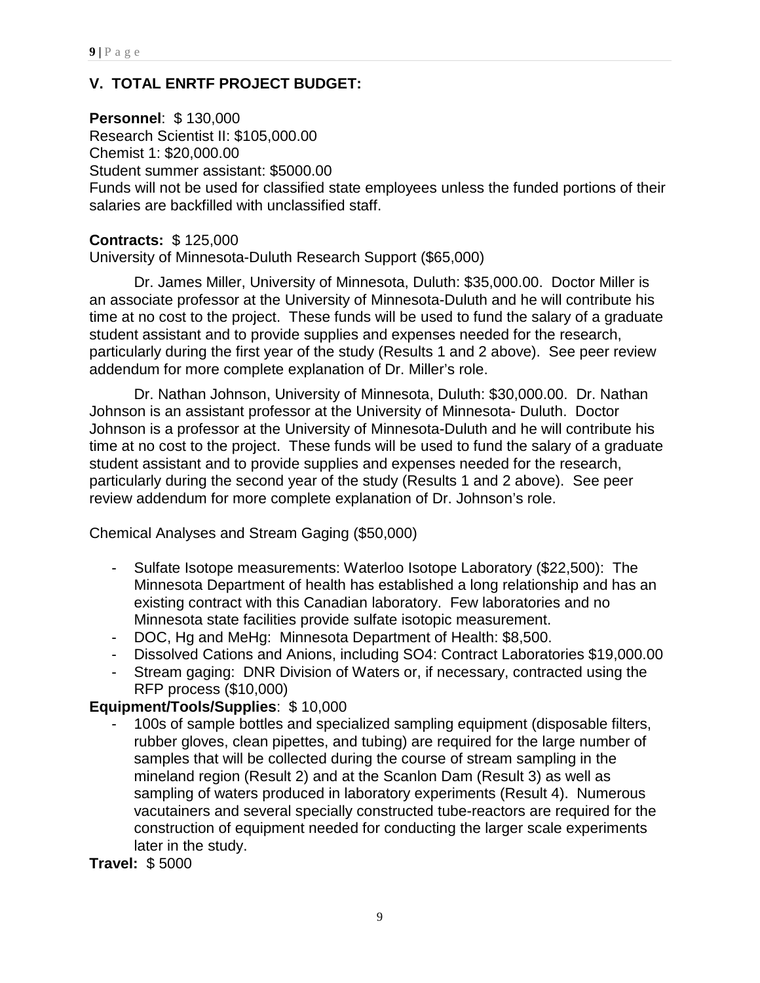# **V. TOTAL ENRTF PROJECT BUDGET:**

# **Personnel**: \$ 130,000

Research Scientist II: \$105,000.00 Chemist 1: \$20,000.00 Student summer assistant: \$5000.00 Funds will not be used for classified state employees unless the funded portions of their salaries are backfilled with unclassified staff.

# **Contracts:** \$ 125,000

University of Minnesota-Duluth Research Support (\$65,000)

Dr. James Miller, University of Minnesota, Duluth: \$35,000.00. Doctor Miller is an associate professor at the University of Minnesota-Duluth and he will contribute his time at no cost to the project. These funds will be used to fund the salary of a graduate student assistant and to provide supplies and expenses needed for the research, particularly during the first year of the study (Results 1 and 2 above). See peer review addendum for more complete explanation of Dr. Miller's role.

Dr. Nathan Johnson, University of Minnesota, Duluth: \$30,000.00. Dr. Nathan Johnson is an assistant professor at the University of Minnesota- Duluth. Doctor Johnson is a professor at the University of Minnesota-Duluth and he will contribute his time at no cost to the project. These funds will be used to fund the salary of a graduate student assistant and to provide supplies and expenses needed for the research, particularly during the second year of the study (Results 1 and 2 above). See peer review addendum for more complete explanation of Dr. Johnson's role.

Chemical Analyses and Stream Gaging (\$50,000)

- Sulfate Isotope measurements: Waterloo Isotope Laboratory (\$22,500): The Minnesota Department of health has established a long relationship and has an existing contract with this Canadian laboratory. Few laboratories and no Minnesota state facilities provide sulfate isotopic measurement.
- DOC, Hg and MeHg: Minnesota Department of Health: \$8,500.
- Dissolved Cations and Anions, including SO4: Contract Laboratories \$19,000.00
- Stream gaging: DNR Division of Waters or, if necessary, contracted using the RFP process (\$10,000)

# **Equipment/Tools/Supplies**: \$ 10,000

100s of sample bottles and specialized sampling equipment (disposable filters, rubber gloves, clean pipettes, and tubing) are required for the large number of samples that will be collected during the course of stream sampling in the mineland region (Result 2) and at the Scanlon Dam (Result 3) as well as sampling of waters produced in laboratory experiments (Result 4). Numerous vacutainers and several specially constructed tube-reactors are required for the construction of equipment needed for conducting the larger scale experiments later in the study.

**Travel:** \$ 5000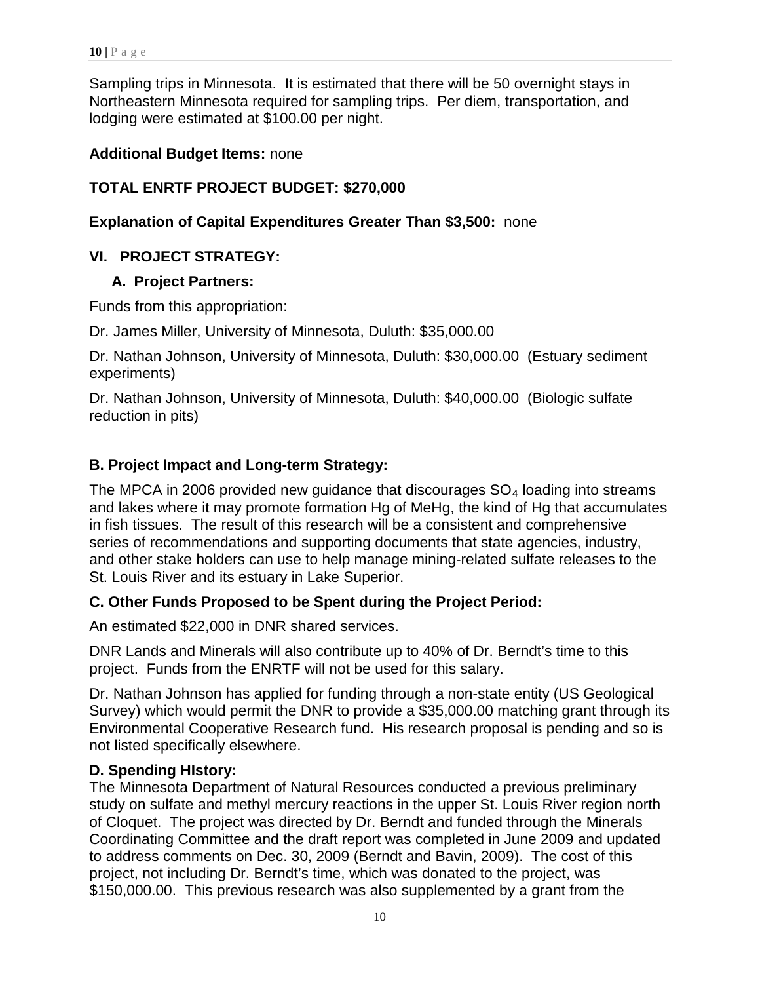Sampling trips in Minnesota. It is estimated that there will be 50 overnight stays in Northeastern Minnesota required for sampling trips. Per diem, transportation, and lodging were estimated at \$100.00 per night.

### **Additional Budget Items:** none

# **TOTAL ENRTF PROJECT BUDGET: \$270,000**

### **Explanation of Capital Expenditures Greater Than \$3,500:** none

## **VI. PROJECT STRATEGY:**

### **A. Project Partners:**

Funds from this appropriation:

Dr. James Miller, University of Minnesota, Duluth: \$35,000.00

Dr. Nathan Johnson, University of Minnesota, Duluth: \$30,000.00 (Estuary sediment experiments)

Dr. Nathan Johnson, University of Minnesota, Duluth: \$40,000.00 (Biologic sulfate reduction in pits)

## **B. Project Impact and Long-term Strategy:**

The MPCA in 2006 provided new guidance that discourages  $SO<sub>4</sub>$  loading into streams and lakes where it may promote formation Hg of MeHg, the kind of Hg that accumulates in fish tissues. The result of this research will be a consistent and comprehensive series of recommendations and supporting documents that state agencies, industry, and other stake holders can use to help manage mining-related sulfate releases to the St. Louis River and its estuary in Lake Superior.

## **C. Other Funds Proposed to be Spent during the Project Period:**

An estimated \$22,000 in DNR shared services.

DNR Lands and Minerals will also contribute up to 40% of Dr. Berndt's time to this project. Funds from the ENRTF will not be used for this salary.

Dr. Nathan Johnson has applied for funding through a non-state entity (US Geological Survey) which would permit the DNR to provide a \$35,000.00 matching grant through its Environmental Cooperative Research fund. His research proposal is pending and so is not listed specifically elsewhere.

### **D. Spending HIstory:**

The Minnesota Department of Natural Resources conducted a previous preliminary study on sulfate and methyl mercury reactions in the upper St. Louis River region north of Cloquet. The project was directed by Dr. Berndt and funded through the Minerals Coordinating Committee and the draft report was completed in June 2009 and updated to address comments on Dec. 30, 2009 (Berndt and Bavin, 2009). The cost of this project, not including Dr. Berndt's time, which was donated to the project, was \$150,000.00. This previous research was also supplemented by a grant from the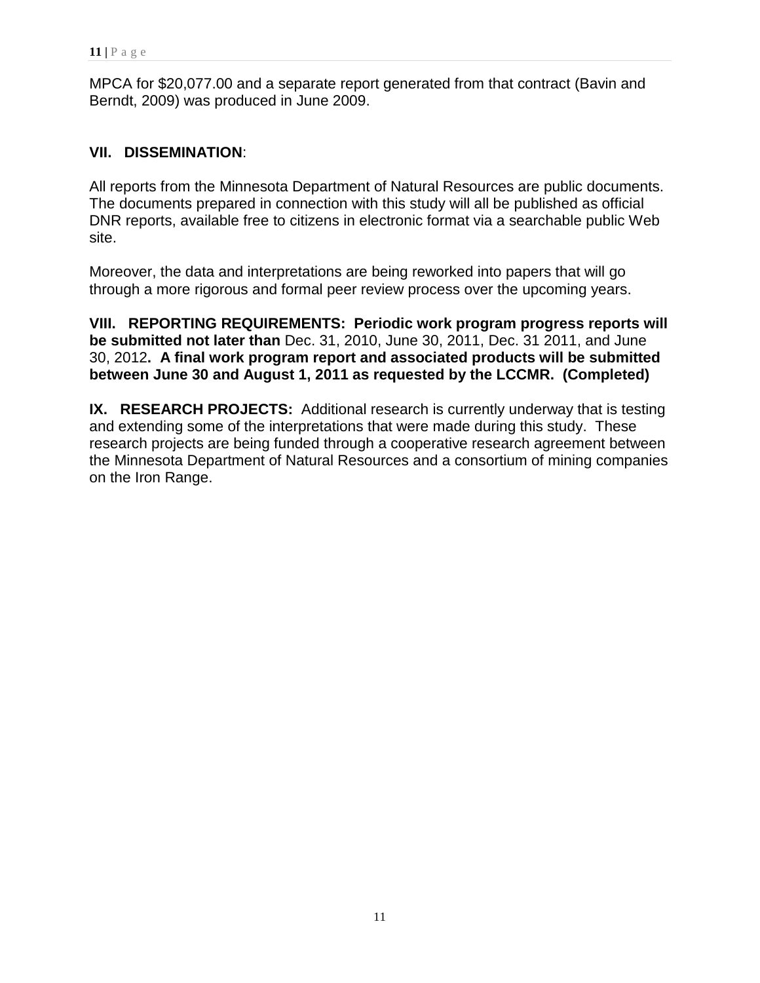MPCA for \$20,077.00 and a separate report generated from that contract (Bavin and Berndt, 2009) was produced in June 2009.

### **VII. DISSEMINATION**:

All reports from the Minnesota Department of Natural Resources are public documents. The documents prepared in connection with this study will all be published as official DNR reports, available free to citizens in electronic format via a searchable public Web site.

Moreover, the data and interpretations are being reworked into papers that will go through a more rigorous and formal peer review process over the upcoming years.

**VIII. REPORTING REQUIREMENTS: Periodic work program progress reports will be submitted not later than** Dec. 31, 2010, June 30, 2011, Dec. 31 2011, and June 30, 2012**. A final work program report and associated products will be submitted between June 30 and August 1, 2011 as requested by the LCCMR. (Completed)**

**IX. RESEARCH PROJECTS:** Additional research is currently underway that is testing and extending some of the interpretations that were made during this study. These research projects are being funded through a cooperative research agreement between the Minnesota Department of Natural Resources and a consortium of mining companies on the Iron Range.